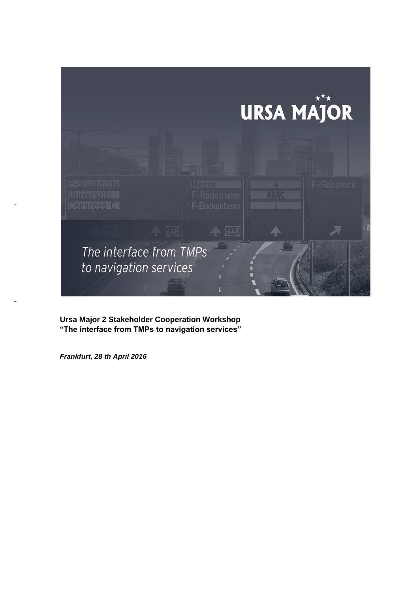

**Ursa Major 2 Stakeholder Cooperation Workshop "The interface from TMPs to navigation services"**

*Frankfurt, 28 th April 2016*

-

-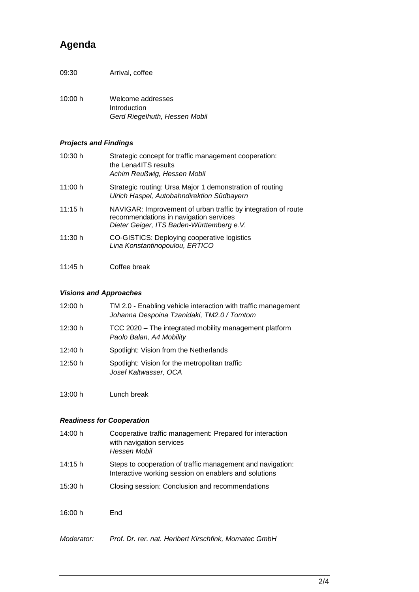# **Agenda**

- 09:30 Arrival, coffee
- 10:00 h Welcome addresses Introduction *Gerd Riegelhuth, Hessen Mobil*

### *Projects and Findings*

| 10:30 h | Strategic concept for traffic management cooperation:<br>the Lena4ITS results<br>Achim Reußwig, Hessen Mobil                                         |
|---------|------------------------------------------------------------------------------------------------------------------------------------------------------|
| 11:00 h | Strategic routing: Ursa Major 1 demonstration of routing<br>Ulrich Haspel, Autobahndirektion Südbayern                                               |
| 11:15h  | NAVIGAR: Improvement of urban traffic by integration of route<br>recommendations in navigation services<br>Dieter Geiger, ITS Baden-Württemberg e.V. |
| 11:30 h | CO-GISTICS: Deploying cooperative logistics<br>Lina Konstantinopoulou, ERTICO                                                                        |
| 11:45 h | Coffee break                                                                                                                                         |

#### *Visions and Approaches*

| 12:00 h | TM 2.0 - Enabling vehicle interaction with traffic management<br>Johanna Despoina Tzanidaki, TM2.0 / Tomtom |  |
|---------|-------------------------------------------------------------------------------------------------------------|--|
| 12:30 h | TCC 2020 - The integrated mobility management platform<br>Paolo Balan, A4 Mobility                          |  |
| 12:40 h | Spotlight: Vision from the Netherlands                                                                      |  |
| 12:50 h | Spotlight: Vision for the metropolitan traffic<br>Josef Kaltwasser, OCA                                     |  |

13:00 h Lunch break

### *Readiness for Cooperation*

| 14:00 h    | Cooperative traffic management: Prepared for interaction<br>with navigation services<br>Hessen Mobil                |
|------------|---------------------------------------------------------------------------------------------------------------------|
| 14:15 h    | Steps to cooperation of traffic management and navigation:<br>Interactive working session on enablers and solutions |
| 15:30 h    | Closing session: Conclusion and recommendations                                                                     |
| 16:00 h    | End                                                                                                                 |
| Moderator: | Prof. Dr. rer. nat. Heribert Kirschfink, Momatec GmbH                                                               |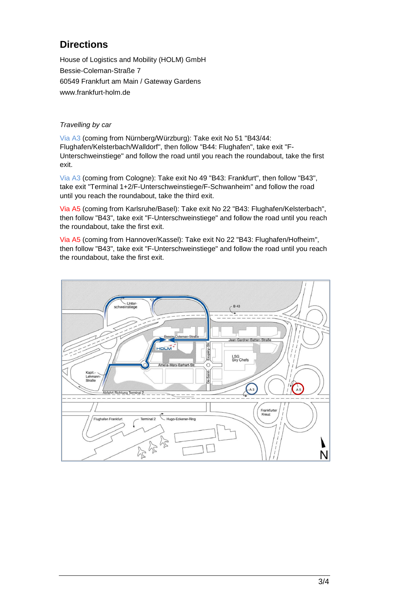# **Directions**

House of Logistics and Mobility (HOLM) GmbH Bessie-Coleman-Straße 7 60549 Frankfurt am Main / Gateway Gardens www.frankfurt-holm.de

### *Travelling by car*

Via A3 (coming from Nürnberg/Würzburg): Take exit No 51 "B43/44: Flughafen/Kelsterbach/Walldorf", then follow "B44: Flughafen", take exit "F-Unterschweinstiege" and follow the road until you reach the roundabout, take the first exit.

Via A3 (coming from Cologne): Take exit No 49 "B43: Frankfurt", then follow "B43", take exit "Terminal 1+2/F-Unterschweinstiege/F-Schwanheim" and follow the road until you reach the roundabout, take the third exit.

Via A5 (coming from Karlsruhe/Basel): Take exit No 22 "B43: Flughafen/Kelsterbach", then follow "B43", take exit "F-Unterschweinstiege" and follow the road until you reach the roundabout, take the first exit.

Via A5 (coming from Hannover/Kassel): Take exit No 22 "B43: Flughafen/Hofheim", then follow "B43", take exit "F-Unterschweinstiege" and follow the road until you reach the roundabout, take the first exit.